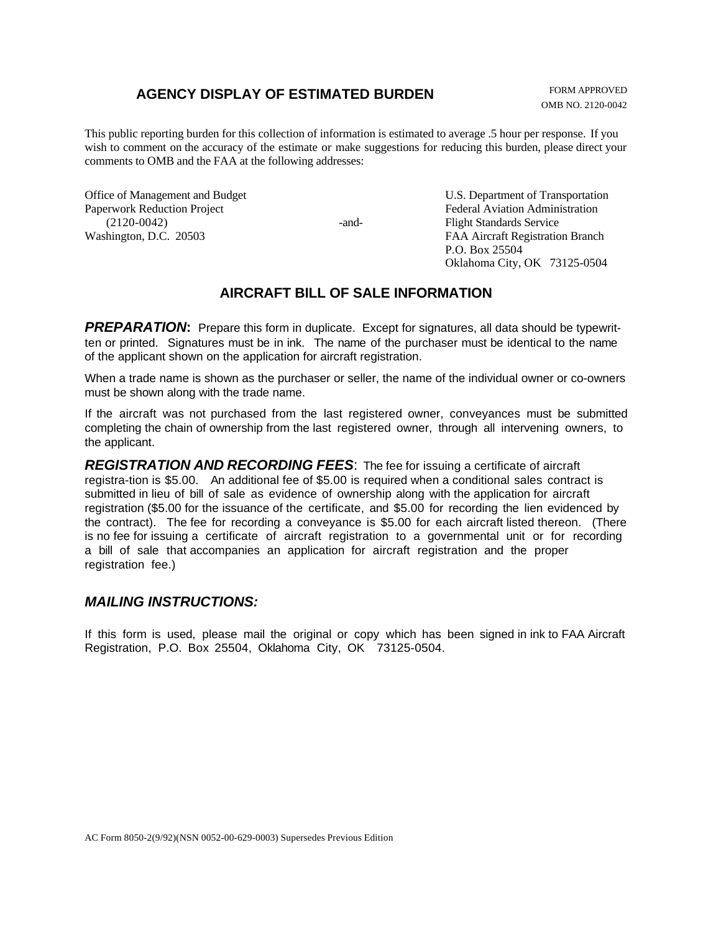## **AGENCY DISPLAY OF ESTIMATED BURDEN** FORM APPROVED

OMB NO. 2120-0042

This public reporting burden for this collection of information is estimated to average .5 hour per response. If you wish to comment on the accuracy of the estimate or make suggestions for reducing this burden, please direct your comments to OMB and the FAA at the following addresses:

Office of Management and Budget U.S. Department of Transportation Paperwork Reduction Project Federal Aviation Administration (2120-0042) -and- Flight Standards Service Washington, D.C. 20503 FAA Aircraft Registration Branch

P.O. Box 25504 Oklahoma City, OK 73125-0504

## **AIRCRAFT BILL OF SALE INFORMATION**

**PREPARATION:** Prepare this form in duplicate. Except for signatures, all data should be typewritten or printed. Signatures must be in ink. The name of the purchaser must be identical to the name of the applicant shown on the application for aircraft registration.

When a trade name is shown as the purchaser or seller, the name of the individual owner or co-owners must be shown along with the trade name.

If the aircraft was not purchased from the last registered owner, conveyances must be submitted completing the chain of ownership from the last registered owner, through all intervening owners, to the applicant.

*REGISTRATION AND RECORDING FEES*: The fee for issuing a certificate of aircraft registra-tion is \$5.00. An additional fee of \$5.00 is required when a conditional sales contract is submitted in lieu of bill of sale as evidence of ownership along with the application for aircraft registration (\$5.00 for the issuance of the certificate, and \$5.00 for recording the lien evidenced by the contract). The fee for recording <sup>a</sup> conveyance is \$5.00 for each aircraft listed thereon. (There is no fee for issuing a certificate of aircraft registration to a governmental unit or for recording a bill of sale that accompanies an application for aircraft registration and the proper registration fee.)

## *MAILING INSTRUCTIONS:*

If this form is used, please mail the original or copy which has been signed in ink to FAA Aircraft Registration, P.O. Box 25504, Oklahoma City, OK 73125-0504.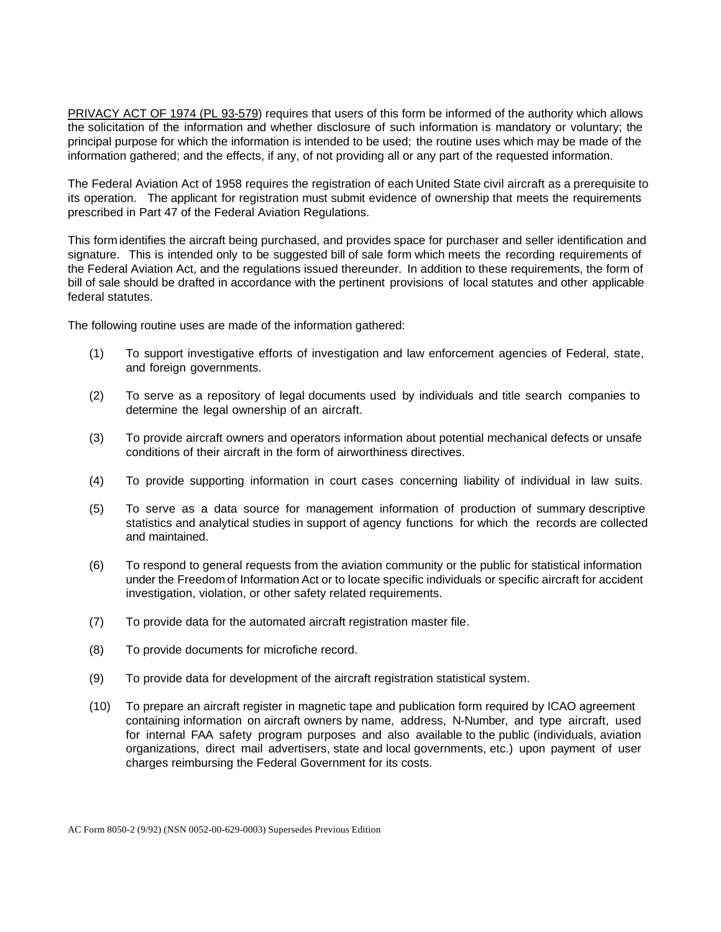PRIVACY ACT OF 1974 (PL 93-579) requires that users of this form be informed of the authority which allows the solicitation of the information and whether disclosure of such information is mandatory or voluntary; the principal purpose for which the information is intended to be used; the routine uses which may be made of the information gathered; and the effects, if any, of not providing all or any part of the requested information.

The Federal Aviation Act of 1958 requires the registration of each United State civil aircraft as a prerequisite to its operation. The applicant for registration must submit evidence of ownership that meets the requirements prescribed in Part 47 of the Federal Aviation Regulations.

This form identifies the aircraft being purchased, and provides space for purchaser and seller identification and signature. This is intended only to be suggested bill of sale form which meets the recording requirements of the Federal Aviation Act, and the regulations issued thereunder. In addition to these requirements, the form of bill of sale should be drafted in accordance with the pertinent provisions of local statutes and other applicable federal statutes.

The following routine uses are made of the information gathered:

- (1) To support investigative efforts of investigation and law enforcement agencies of Federal, state, and foreign governments.
- (2) To serve as a repository of legal documents used by individuals and title search companies to determine the legal ownership of an aircraft.
- (3) To provide aircraft owners and operators information about potential mechanical defects or unsafe conditions of their aircraft in the form of airworthiness directives.
- (4) To provide supporting information in court cases concerning liability of individual in law suits.
- (5) To serve as a data source for management information of production of summary descriptive statistics and analytical studies in support of agency functions for which the records are collected and maintained.
- (6) To respond to general requests from the aviation community or the public for statistical information under the Freedom of Information Act or to locate specific individuals or specific aircraft for accident investigation, violation, or other safety related requirements.
- (7) To provide data for the automated aircraft registration master file.
- (8) To provide documents for microfiche record.
- (9) To provide data for development of the aircraft registration statistical system.
- (10) To prepare an aircraft register in magnetic tape and publication form required by ICAO agreement containing information on aircraft owners by name, address, N-Number, and type aircraft, used for internal FAA safety program purposes and also available to the public (individuals, aviation organizations, direct mail advertisers, state and local governments, etc.) upon payment of user charges reimbursing the Federal Government for its costs.